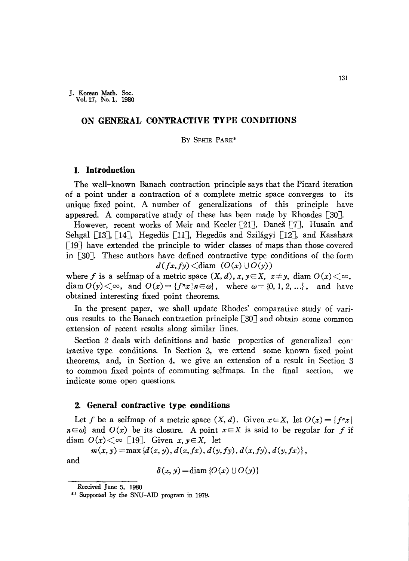## **ON GENERAL CONTRACTIVE TYPE CONDITIONS**

#### By SEHIE PARK\*

## **1. Introduction**

The well-known Banach contraction principle says that the Picard iteration of a point under a contraction of a complete metric space converges to its unique fixed point. A number of generalizations of this principle have appeared. A comparative study of these has been made by Rhoades  $\lceil 30 \rceil$ .

However, recent works of Meir and Keeler [21], Daneš [7], Husain and Sehgal [13], [14], Hegedüs [11], Hegedüs and Szilágyi [12], and Kasahara  $\lceil 19 \rceil$  have extended the principle to wider classes of maps than those covered in [30]. These authors have defined contractive type conditions of the form  $d(fx, fy) \leq diam$   $(O(x) \cup O(y))$ 

where f is a selfmap of a metric space  $(X, d)$ ,  $x, y \in X$ ,  $x \neq y$ , diam  $O(x) \leq \infty$ , diam  $O(y) \leq \infty$ , and  $O(x) = \{f^n x \mid n \in \omega\}$ , where  $\omega = \{0, 1, 2, ...\}$ , and have obtained interesting fixed point theorems.

In the present paper, we shall update Rhodes' comparative study of various results to the Banach contraction principle  $\lceil 30 \rceil$  and obtain some common extension of recent results along similar lines.

Section 2 deals with definitions and basic properties of generalized contractive type conditions. In Section 3, we extend some known fixed point theorems, and, in Section 4, we give an extension of a result in Section 3 to common fixed points of commuting selfmaps. In the final section, we indicate some open questions.

### **2. General contractive type conditions**

Let f be a selfmap of a metric space  $(X, d)$ . Given  $x \in X$ , let  $O(x) = \{f^n x \mid$  $n \in \omega$ } and  $O(x)$  be its closure. A point  $x \in X$  is said to be regular for f if diam  $O(x) \leq \infty$  [19]. Given  $x, y \in X$ , let

 $m(x, y) = \max \{d(x, y), d(x, fx), d(y, fy), d(x, fy), d(y, fx)\},$ and

 $\delta(x, y) = \text{diam} \{O(x) \cup O(y)\}$ 

Received June 5, 1980

<sup>\*)</sup> Supported by the SNU-AID program in 1979.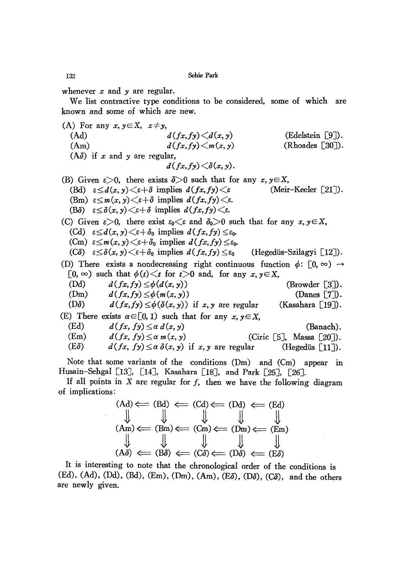whenever *x* and *y* are regular.

We list contractive type conditions to be considered, some of which are known and some of which are new.

\n- (A) For any 
$$
x, y \in X
$$
,  $x \neq y$ , (Ad)  $d(fx, fy) < d(x, y)$  (Edelestein [9]).
\n- (Am)  $d(fx, fy) < m(x, y)$  (Rhoodes [30]).
\n- (A $\delta$ ) if  $x$  and  $y$  are regular,  $d(fx, fy) < \delta(x, y)$ .
\n- (B) Given  $\varepsilon > 0$ , there exists  $\delta > 0$  such that for any  $x, y \in X$ , (Bd)  $\varepsilon \leq d(x, y) < \varepsilon + \delta$  implies  $d(fx, fy) < \varepsilon$  (Meir-Keeler [21]).
\n- (Bm)  $\varepsilon \leq m(x, y) < \varepsilon + \delta$  implies  $d(fx, fy) < \varepsilon$ .
\n- (C) Given  $\varepsilon > 0$ , there exist  $\varepsilon_0 < \varepsilon$  and  $\delta_0 > 0$  such that for any  $x, y \in X$ , (Cd)  $\varepsilon \leq d(x, y) < \varepsilon + \delta$  implies  $d(fx, fy) \leq \varepsilon$ .
\n- (C) Given  $\varepsilon > 0$ , there exist  $\varepsilon_0 < \varepsilon$  and  $\delta_0 > 0$  such that for any  $x, y \in X$ , (Cd)  $\varepsilon \leq d(x, y) < \varepsilon + \delta_0$  implies  $d(fx, fy) \leq \varepsilon_0$ .
\n- (C $\delta$ )  $\varepsilon \leq \delta(x, y) < \varepsilon + \delta_0$  implies  $d(fx, fy) \leq \varepsilon_0$ . (Hegedü's-Szilagyi [12]).
\n- (D) There exists a nondecreasing right continuous function  $\phi$

Husain-Sehgal [13], [14], Kasahara [18], and Park [25], [26]. If all points in  $X$  are regular for  $f$ , then we have the following diagram of implications:

$$
(Ad) \Leftarrow (Bd) \Leftarrow (Cd) \Leftarrow (Dd) \Leftarrow (Ed)
$$
\n
$$
(\downarrow \downarrow \qquad \qquad \downarrow \qquad \qquad \downarrow \qquad \qquad \downarrow \qquad \qquad \downarrow \qquad \qquad \downarrow \qquad \qquad \downarrow \qquad \qquad \downarrow \qquad \qquad \downarrow \qquad \qquad \downarrow \qquad \qquad \downarrow \qquad \qquad \downarrow \qquad \qquad \downarrow \qquad \qquad \downarrow \qquad \qquad \downarrow \qquad \qquad \downarrow \qquad \qquad \downarrow \qquad \qquad \downarrow \qquad \qquad \downarrow \qquad \qquad \downarrow \qquad \qquad \downarrow \qquad \qquad \downarrow \qquad \qquad \downarrow \qquad \qquad \downarrow \qquad \qquad \downarrow \qquad \qquad \downarrow \qquad \qquad \downarrow \qquad \qquad \downarrow \qquad \qquad \downarrow \qquad \qquad \downarrow \qquad \qquad \downarrow \qquad \qquad \downarrow \qquad \qquad \downarrow \qquad \qquad \downarrow \qquad \qquad \downarrow \qquad \qquad \downarrow \qquad \qquad \downarrow \qquad \qquad \downarrow \qquad \qquad \downarrow \qquad \qquad \downarrow \qquad \qquad \downarrow \qquad \qquad \downarrow \qquad \qquad \downarrow \qquad \qquad \downarrow \qquad \qquad \downarrow \qquad \qquad \downarrow \qquad \qquad \downarrow \qquad \qquad \downarrow \qquad \qquad \downarrow \qquad \qquad \downarrow \qquad \qquad \downarrow \qquad \qquad \downarrow \qquad \qquad \downarrow \qquad \qquad \downarrow \qquad \qquad \downarrow \qquad \qquad \downarrow \qquad \qquad \downarrow \qquad \qquad \downarrow \qquad \qquad \downarrow \qquad \qquad \downarrow \qquad \qquad \downarrow \qquad \qquad \downarrow \qquad \qquad \downarrow \qquad \qquad \downarrow \qquad \qquad \downarrow \qquad \qquad \downarrow \qquad \qquad \downarrow \qquad \qquad \downarrow \qquad \qquad \downarrow \qquad \qquad \downarrow \qquad \qquad \downarrow \qquad \qquad \downarrow \qquad \qquad \downarrow \qquad \qquad \downarrow \qquad \qquad \downarrow \qquad \qquad \downarrow \qquad \qquad \downarrow \qquad \qquad \downarrow \qquad \qquad \downarrow \qquad \qquad \downarrow \qquad \q
$$

 $\sim 10^{-11}$ 

It is interesting to note that the chronological order of the conditions is (Ed), (Ad), (Dd), (Bd), (Em), (Dm), (Am), *(Eo), (Do), (CO),* and the others are newly given.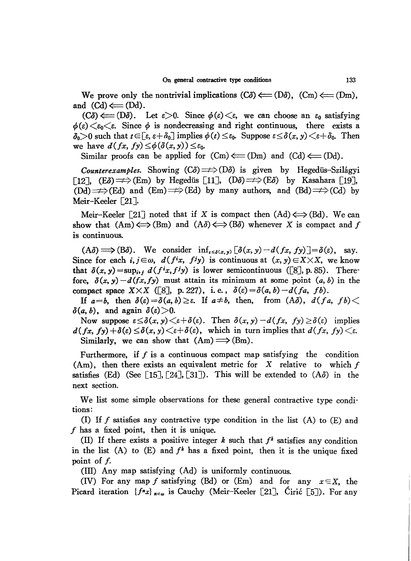We prove only the nontrivial implications  $(C\delta) \Longleftarrow (D\delta)$ ,  $(Cm) \Longleftarrow (Dm)$ , and  $(Cd) \leftarrow (Dd)$ .

 $(C\delta) \leftarrow (D\delta)$ . Let  $\varepsilon > 0$ . Since  $\phi(\varepsilon) < \varepsilon$ , we can choose an  $\varepsilon_0$  satisfying  $\phi(\varepsilon) \leq \varepsilon_0 \leq \varepsilon$ . Since  $\phi$  is nondecreasing and right continuous, there exists a  $\delta_0 > 0$  such that  $t \in [\epsilon, \epsilon + \delta_0]$  implies  $\phi(t) \leq \epsilon_0$ . Suppose  $\epsilon \leq \delta(x, y) < \epsilon + \delta_0$ . Then we have  $d(fx, fy) \leq \phi(\delta(x, y)) \leq \varepsilon_0$ .

Similar proofs can be applied for  $(Cm) \leftarrow (Dm)$  and  $(Cd) \leftarrow (Dd)$ .

*Counterexamples.* Showing  $(C\delta) \Longrightarrow (D\delta)$  is given by Hegedüs-Szilágyi  $\lceil 12 \rceil$ ,  $\lceil E\delta \rceil \Longrightarrow$   $\langle Em \rangle$  by Hegedüs  $\lceil 11 \rceil$ ,  $\langle D\delta \rangle \Longrightarrow$   $\langle E\delta \rangle$  by Kasahara [19],  $(\text{Dd}) \implies (\text{Ed})$  and  $(\text{Em}) \implies (\text{Ed})$  by many authors, and  $(\text{Bd}) \implies (\text{Cd})$  by Meir-Keeler [21].

Meir-Keeler [21] noted that if X is compact then  $(Ad) \iff (Bd)$ . We can show that  $(Am) \iff (Bm)$  and  $(A\delta) \iff (B\delta)$  whenever X is compact and f is continuous.

 $(A\delta) \Longrightarrow (B\delta)$ . We consider  $\inf_{\varepsilon \leq \delta(x,y)} [\delta(x,y) - d(fx,fy)] = \delta(\varepsilon)$ , say. Since for each *i, j* $\in \omega$ ,  $d(f^{i}x, f^{j}y)$  is continuous at  $(x, y) \in X \times X$ , we know that  $\delta(x, y) = \sup_{i \in I} d(f^{i}x, f^{j}y)$  is lower semicontinuous ([8], p. 85). Therefore,  $\delta(x, y) - d(fx, fy)$  must attain its minimum at some point  $(a, b)$  in the compact space  $X \times X$  ([8], p. 227), i.e.,  $\delta(\varepsilon) = \delta(a, b) - d(fa, fb)$ .

If  $a=b$ , then  $\delta(\varepsilon) = \delta(a, b) \geq \varepsilon$ . If  $a \neq b$ , then, from  $(A\delta)$ ,  $d(fa, fb) <$  $\delta(a, b)$ , and again  $\delta(\varepsilon) > 0$ .

Now suppose  $\varepsilon \leq \delta(x, y) \leq \varepsilon + \delta(\varepsilon)$ . Then  $\delta(x, y) - d(fx, fy) \geq \delta(\varepsilon)$  implies  $d(fx, fy) + \delta(\varepsilon) \leq \delta(x, y) \leq \varepsilon + \delta(\varepsilon)$ , which in turn implies that  $d(fx, fy) \leq \varepsilon$ . Similarly, we can show that  $(Am) \implies (Bm)$ .

Furthermore, if  $f$  is a continuous compact map satisfying the condition (Am), then there exists an equivalent metric for  $X$  relative to which  $f$ satisfies (Ed) (See [15], [24], [31]). This will be extended to  $(A\delta)$  in the next section.

We list some simple observations for these general contractive type conditions:

(I) If  $f$  satisfies any contractive type condition in the list  $(A)$  to  $(E)$  and  $f$  has a fixed point, then it is unique.

(II) If there exists a positive integer  $k$  such that  $f^k$  satisfies any condition in the list (A) to (E) and  $f^k$  has a fixed point, then it is the unique fixed point of  $f$ .

 $(III)$  Any map satisfying  $(Ad)$  is uniformly continuous.

(IV) For any map f satisfying (Bd) or (Em) and for any  $x \in X$ , the Picard iteration  ${f^kx}_{n\in\omega}$  is Cauchy (Meir-Keeler [21], Ciric [5]). For any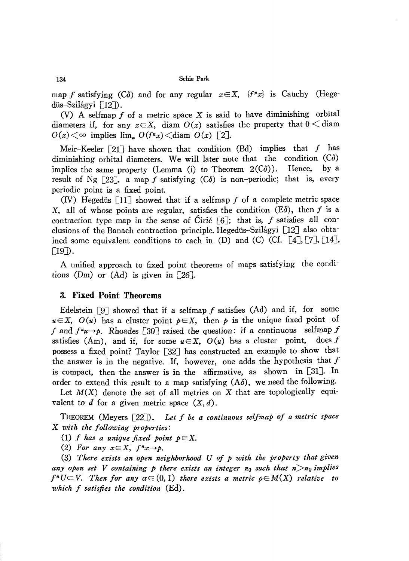map *f* satisfying (C $\delta$ ) and for any regular  $x \in X$ ,  $\{f^n x\}$  is Cauchy (Hegedüs-Szilágyi [12]).

(V) A selfmap  $f$  of a metric space  $X$  is said to have diminishing orbital diameters if, for any  $x \in X$ , diam  $O(x)$  satisfies the property that  $0 \leq$  diam  $O(x)$   $\lt \infty$  implies  $\lim_{n} O(f^{n}x)$   $\lt$  diam  $O(x)$  [2].

Meir-Keeler  $\lceil 21 \rceil$  have shown that condition (Bd) implies that f has diminishing orbital diameters. We will later note that the condition  $(C\delta)$ implies the same property (Lemma (i) to Theorem  $2(C\delta)$ ). Hence, by a result of Ng  $[23]$ , a map f satisfying  $(C\delta)$  is non-periodic; that is, every periodic point is a fixed point.

(IV) Hegedüs  $[11]$  showed that if a selfmap f of a complete metric space X, all of whose points are regular, satisfies the condition  $(E\delta)$ , then f is a contraction type map in the sense of Ciric  $\lceil 6 \rceil$ ; that is, f satisfies all conclusions of the Banach contraction principle. Hegedüs-Szilágyi [12] also obtained some equivalent conditions to each in (D) and (C) (Cf.  $[4]$ ,  $[7]$ ,  $[14]$ ,  $\lceil 19 \rceil$ ).

A unified approach to fixed point theorems of maps satisfying the conditions (Dm) or (Ad) is given in  $[26]$ .

### 3. **Fixed Point Theorems**

Edelstein  $[9]$  showed that if a selfmap f satisfies (Ad) and if, for some  $u \in X$ ,  $O(u)$  has a cluster point  $p \in X$ , then *p* is the unique fixed point of *f* and  $f^n u \rightarrow p$ . Rhoades [30] raised the question: if a continuous selfmap *f* satisfies (Am), and if, for some  $u \in X$ ,  $O(u)$  has a cluster point, does *f* possess a fixed point? Taylor [32J has constructed an example to show that the answer is in the negative. If, however, one adds the hypothesis that  $f$ is compact, then the answer is in the affirmative, as shown in [31]. In order to extend this result to a map satisfying  $(A\delta)$ , we need the following.

Let  $M(X)$  denote the set of all metrics on X that are topologically equivalent to d for a given metric space  $(X, d)$ .

THEOREM (Meyers [22J). *Let f be a continuous selfmap of a metric space* X *with the following properties:*

*(1) f has a unique fixed point pEX.*

(2) For any  $x \in X$ ,  $f^n x \rightarrow p$ .

*(3) There exists an open neighborhood U of p with the property that given any open set V containing p there exists an integer* no *such that n>no implies*  $f<sup>n</sup>U\subset V$ . Then for any  $\alpha \in (0,1)$  there exists a metric  $\rho \in M(X)$  relative to *which f satisfies the condition* (Ed).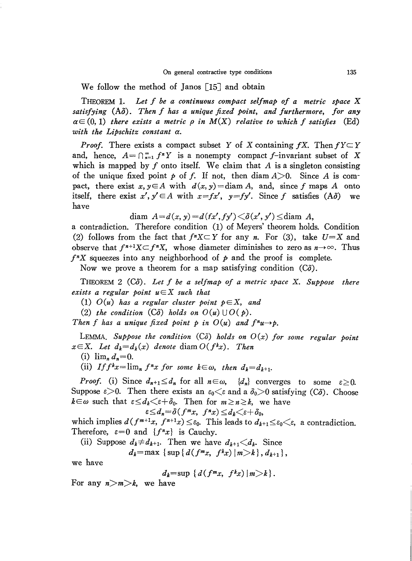We follow the method of Janos  $\lceil 15 \rceil$  and obtain

THEOREM 1. *Let f be a continuous compact selfmap of a metric space* X *satisfying (Ao). Then f has a unique fixed point, and furthermore, for any*  $\alpha \in (0,1)$  *there exists a metric*  $\rho$  *in*  $M(X)$  *relative to which*  $f$  *satisfies* (Ed) *with the Lipschitz constant a.*

*Proof.* There exists a compact subset Y of X containing  $fX$ . Then  $fY \subset Y$ and, hence,  $A = \bigcap_{n=1}^{\infty} f^n Y$  is a nonempty compact f-invariant subset of X which is mapped by  $f$  onto itself. We claim that  $A$  is a singleton consisting of the unique fixed point  $p$  of  $f$ . If not, then diam  $A > 0$ . Since A is compact, there exist  $x, y \in A$  with  $d(x, y) = \text{diam } A$ , and, since f maps A onto itself, there exist  $x', y' \in A$  with  $x = fx'$ ,  $y = fy'$ . Since f satisfies  $(A\delta)$  we have

diam  $A=d(x, y)=d(fx', fy')\leq \delta(x', y')\leq \text{diam } A$ ,

a contradiction. Therefore condition 0) of Meyers' theorem holds. Condition (2) follows from the fact that  $f^nX \subset Y$  for any *n*. For (3), take  $U=X$  and observe that  $f^{n+1}X \subset f^nX$ , whose diameter diminishes to zero as  $n \to \infty$ . Thus  $f^n X$  squeezes into any neighborhood of  $p$  and the proof is complete.

Now we prove a theorem for a map satisfying condition *(Co).*

THEOREM 2 *(CO). Let f be a selfmap of a metric space* x. *Suppose there exists* a regular point  $u \in X$  *such that* 

(1) *O(u) has a regular cluster point pEX, and*

(2) *the condition*  $(C\delta)$  *holds on*  $O(u) \cup O(p)$ *.* 

*Then f has a unique fixed point p in*  $O(u)$  *and*  $f^{n}u \rightarrow p$ .

LEMMA. Suppose the condition  $(C\delta)$  holds on  $O(x)$  for some regular point  $x \in X$ . Let  $d_k = d_k(x)$  denote diam  $O(f^k x)$ . Then

 $(i)$   $\lim_{n} d_n = 0$ .

(ii) *If*  $f^k x = \lim_n f^n x$  *for some*  $k \in \omega$ , *then*  $d_k = d_{k+1}$ .

*Proof.* (i) Since  $d_{n+1} \leq d_n$  for all  $n \in \omega$ ,  $\{d_n\}$  converges to some  $\epsilon \geq 0$ . Suppose  $\epsilon > 0$ . Then there exists an  $\epsilon_0 \lt \epsilon$  and a  $\delta_0 > 0$  satisfying *(C* $\delta$ *)*. Choose  $k \in \omega$  such that  $\epsilon \leq d_k \leq \epsilon + \delta_0$ . Then for  $m \geq n \geq k$ , we have

$$
\varepsilon \leq d_n = \delta(f^m x, f^n x) \leq d_k \leq \varepsilon + \delta_0,
$$

which implies  $d(f^{m+1}x, f^{n+1}x) \leq \varepsilon_0$ . This leads to  $d_{k+1} \leq \varepsilon_0 \leq \varepsilon$ , a contradiction. Therefore,  $\varepsilon=0$  and  $\{f^nx\}$  is Cauchy.

(ii) Suppose 
$$
d_k \neq d_{k+1}
$$
. Then we have  $d_{k+1} \leq d_k$ . Since

$$
d_k = \max \left\{ \sup \{ d(f^m x, f^k x) | m > k \}, d_{k+1} \right\},\,
$$

we have

$$
d_k=\sup\{d(f^mx, f^kx)|m\&\}.
$$

For any  $n>m>k$ , we have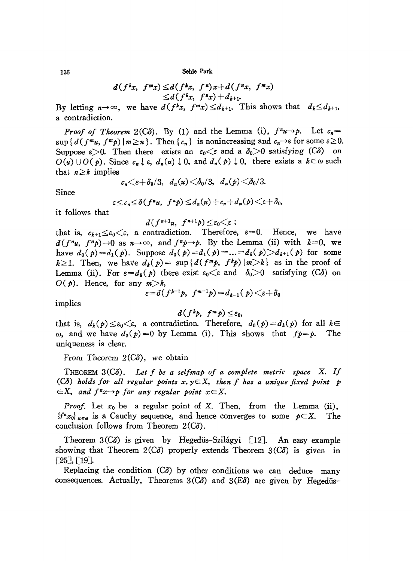136 Sebie Park

$$
d(f^{k}x, f^{m}x) \leq d(f^{k}x, f^{n})x + d(f^{n}x, f^{m}x)
$$
  
 
$$
\leq d(f^{k}x, f^{n}x) + d_{k+1}.
$$

By letting  $n \rightarrow \infty$ , we have  $d(f^kx, f^mx) \leq d_{k+1}$ . This shows that  $d_k \leq d_{k+1}$ , a contradiction.

*Proof of Theorem* 2(C $\delta$ ). By (1) and the Lemma (i),  $f''u \rightarrow \rho$ . Let  $c_n =$  $\sup \{d(f^mu, f^m p) | m \ge n\}.$  Then  $\{c_n\}$  is nonincreasing and  $c_n \rightarrow \varepsilon$  for some  $\varepsilon \ge 0$ . Suppose  $\varepsilon > 0$ . Then there exists an  $\varepsilon_0 \leq \varepsilon$  and a  $\delta_0 > 0$  satisfying  $(C\delta)$  on  $O(u) \cup O(p)$ . Since  $c_n \downarrow \varepsilon$ ,  $d_n(u) \downarrow 0$ , and  $d_n(p) \downarrow 0$ , there exists a  $k \in \omega$  such that  $n \geq k$  implies

$$
c_n \leq \varepsilon + \delta_0/3, \quad d_n(u) \leq \delta_0/3, \quad d_n(p) \leq \delta_0/3.
$$

Since

$$
\varepsilon \leq c_n \leq \delta(f^n u, f^n p) \leq d_n(u) + c_n + d_n(p) \leq \varepsilon + \delta_0,
$$

it follows that

$$
d(f^{n+1}u, f^{n+1}p) \leq \varepsilon_0 \leq \varepsilon ;
$$

that is,  $c_{k+1} \leq \varepsilon_0 \leq \varepsilon$ , a contradiction. Therefore,  $\varepsilon=0$ . Hence, we have  $d(f^{n}u, f^{n}p) \rightarrow 0$  as  $n \rightarrow \infty$ , and  $f^{n}p \rightarrow p$ . By the Lemma (ii) with  $k=0$ , we have  $d_0(p) = d_1(p)$ . Suppose  $d_0(p) = d_1(p) = ... = d_k(p) > d_{k+1}(p)$  for some  $k \geq 1$ . Then, we have  $d_k(p) = \sup\{d(f^m p, f^k p) | m > k\}$  as in the proof of Lemma (ii). For  $\varepsilon = d_k(p)$  there exist  $\varepsilon_0 \leq \varepsilon$  and  $\delta_0 > 0$  satisfying *(Co)* on  $O(p)$ . Hence, for any  $m > k$ ,

$$
\varepsilon = \delta(f^{k-1}p, f^{m-1}p) = d_{k-1}(p) \leq \varepsilon + \delta_0
$$

implies

$$
d(f^k p, f^m p) \leq \varepsilon_0,
$$

that is,  $d_k(p) \leq \varepsilon_0 \leq \varepsilon$ , a contradiction. Therefore,  $d_0(p) = d_k(p)$  for all  $k \in$  $\omega$ , and we have  $d_0(p) = 0$  by Lemma (i). This shows that  $fp = p$ . The uniqueness is clear.

From Theorem  $2(C\delta)$ , we obtain

THEOREM *3(Co). Let <sup>f</sup> be <sup>a</sup> sel/map of <sup>a</sup> complete metric space* X. *If (CO) holds for all regular points x, yEX, then f has a unique fixed point p*  $\in$ X, and  $f''x\rightarrow p$  *for any regular point*  $x\in$ X.

*Proof.* Let  $x_0$  be a regular point of X. Then, from the Lemma (ii), *f<sup>n</sup>x<sub>0</sub>* $_{n\in\omega}$  is a Cauchy sequence, and hence converges to some  $p\in X$ . The conclusion follows from Theorem 2*(C* $\delta$ ).

Theorem 3(C<sub>o</sub>) is given by Hegedüs-Szilágyi [12]. An easy example showing that Theorem  $2(C\delta)$  properly extends Theorem  $3(C\delta)$  is given in  $[25]$ ,  $[19]$ .

Replacing the condition  $(C\delta)$  by other conditions we can deduce many consequences. Actually, Theorems  $3(\overrightarrow{C\delta})$  and  $3(\overrightarrow{E\delta})$  are given by Hegedüs-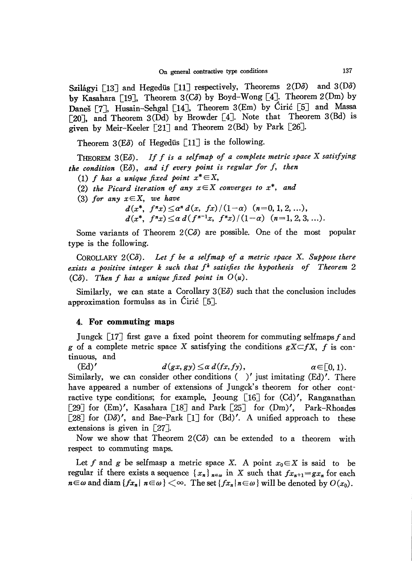Szilágyi [13] and Hegedüs [11] respectively, Theorems  $2(D\delta)$  and  $3(D\delta)$ by Kasahara [19J, Theorem *3(CO)* by Boyd-Wong [4]. Theorem 2(Dm) by Daneš [7], Husain-Sehgal [14], Theorem 3(Em) by Ciric [5] and Massa [20J, and Theorem 3(Dd) by Browder [4]. Note that Theorem 3(Bd) is given by Meir-Keeler [21] and Theorem 2(Bd) by Park [26J.

Theorem  $3(E\delta)$  of Hegedüs [11] is the following.

THEOREM <sup>3</sup>(Eo). *If <sup>f</sup> is <sup>a</sup> selfmap of <sup>a</sup> complete metric space* <sup>X</sup> *satisfying the condition* (Eo), *and* if *every point is regular for f, then*

*(1) f has a unique fixed point x\** EX,

*(2) the Picard iteration of any xEX converges to x\*, and*

*(3) for any xEX, we have*

 $d(x^*, f^n x) \leq a^n d(x, fx) / (1-\alpha)$   $(n=0, 1, 2, ...)$  $d(x^*, f^n x) \leq \alpha d(f^{n-1}x, f^n x)/(1-\alpha)$   $(n=1,2,3,...).$ 

Some variants of Theorem  $2(C\delta)$  are possible. One of the most popular type is the following.

CoROLLARY *2(CO). Let f be a selfmap of a metric space* X. *Suppose there exists a positive integer k such that fk satisfies the hypothesis of Theorem 2*  $(C\delta)$ . *Then f has a unique fixed point in*  $O(u)$ .

Similarly, we can state a Corollary  $3(E\delta)$  such that the conclusion includes approximation formulas as in Ciric  $\lceil 5 \rceil$ .

### 4. **For commuting** maps

Jungck  $\lceil 17 \rceil$  first gave a fixed point theorem for commuting selfmaps f and *g* of a complete metric space X satisfying the conditions  $gX \subseteq fX$ , *f* is continuous, and

(Ed)'  $d(gx, gy) \leq \alpha \ d(fx, fy), \qquad \alpha \in [0, 1).$ Similarly, we can consider other conditions  $($  )' just imitating  $(Ed)$ '. There have appeared a number of extensions of Jungck's theorem for other contractive type conditions; for example, Jeoung  $\lceil 16 \rceil$  for  $\lceil \text{Col}' \rceil$ , Ranganathan [29] for  $(Em)'$ , Kasahara [18] and Park [25] for  $(Dm)'$ , Park-Rhoades [28] for  $(D\delta)'$ , and Bae-Park [1] for  $(Bd)'$ . A unified approach to these extensions is given in  $\lceil 27 \rceil$ .

Now we show that Theorem  $2(C\delta)$  can be extended to a theorem with respect to commuting maps.

Let f and g be selfmasp a metric space X. A point  $x_0 \in X$  is said to be regular if there exists a sequence  $\{x_n\}_{n \in \omega}$  in X such that  $fx_{n+1} = gx_n$  for each  $n \in \omega$  and diam  ${fx_n | n \in \omega} \leq \infty$ . The set  ${fx_n | n \in \omega}$  will be denoted by  $O(x_0)$ .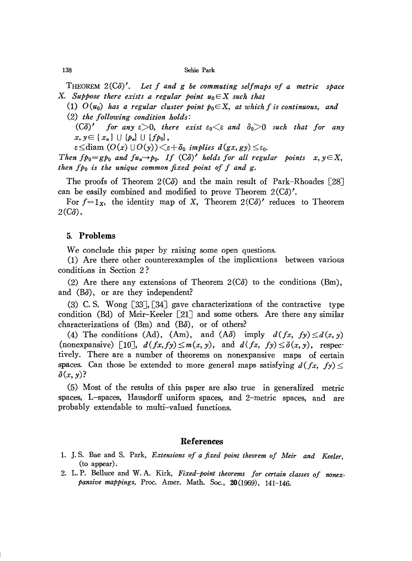138 Sehie Park

THEOREM *2(Co)'. Let f and g be commuting selfmaps of a metric space* X. Suppose there exists a regular point  $u_0 \in X$  such that

- (1)  $O(u_0)$  has a regular cluster point  $p_0 \in X$ , at which f is continuous, and
- *(2) the following condition holds:*

 $(C\delta)'$  *for any*  $\epsilon > 0$ , *there exist*  $\epsilon_0 \leq \epsilon$  *and*  $\delta_0 > 0$  *such that for any*  $x, y \in \{x_n\} \cup \{p_n\} \cup \{fp_0\},\$ 

 $\varepsilon \leq$ diam  $(O(x) \cup O(y)) \leq \varepsilon + \delta_0$  *implies*  $d(gx,gy) \leq \varepsilon_0$ .

*Then*  $fp_0 = g p_0$  *and*  $fu_n \rightarrow p_0$ . If  $(C\delta)'$  *holds* for all regular points  $x, y \in X$ , *then fpo is the unique common fixed point of f and g.*

The proofs of Theorem  $2(C\delta)$  and the main result of Park-Rhoades [28] can be easily combined and modified to prove Theorem  $2(C\delta)'$ .

For  $f=1_x$ , the identity map of X, Theorem 2(C $\delta$ )' reduces to Theorem  $2(\mathbb{C}\delta)$ .

# 5. **Problems**

We conclude this paper by raising some open questions.

(1) Are there other counterexamples of the implications between various conditions in Section 2?

(2) Are there any extensions of Theorem  $2(\hat{C}\delta)$  to the conditions (Bm), and  $(B\delta)$ , or are they independent?

(3) C. S. Wong  $\lceil 33 \rceil$ ,  $\lceil 34 \rceil$  gave characterizations of the contractive type condition (Bd) of Meir-Keeler [21] and some others. Are there any similar characterizations of  $(Bm)$  and  $(B\delta)$ , or of others?

(4) The conditions (Ad), (Am), and  $(A\delta)$  imply  $d(fx, fy) \leq d(x, y)$ (nonexpansive) [10],  $d(fx, fy) \leq m(x, y)$ , and  $d(fx, fy) \leq \delta(x, y)$ , respectively. There are a number of theorems on nonexpansive maps of certain spaces. Can those be extended to more general maps satisfying  $d(fx, fy) \leq$  $\delta(x, y)$ ?

(5) Most of the results of this paper are also true in generalized metric spaces, L-spaces, Hausdorff uniform spaces, and 2-metric spaces, and are probably extendable to multi-valued functions.

### **References**

- 1. J. S. Bae and S. Park, *Extensions of a fixed point theorem of Meir and Keeler,* (to appear).
- 2. L. P. Belluce and W. A. Kirk, *Fixed-point theorems for certain classes of nonexpansive mappings,* Proc. Amer. Math. Soc., 20(1969), 141-146.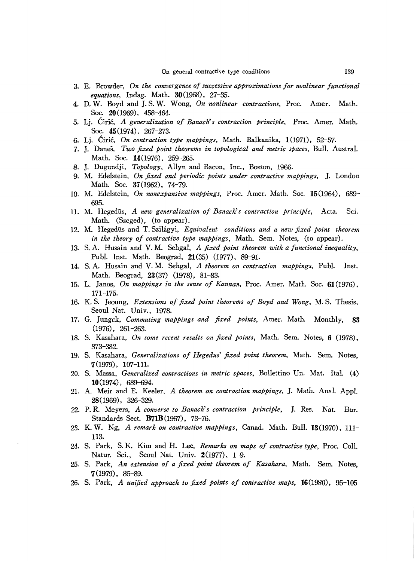- 3. E. Browder, *On the convergeuce ofsuccessive approximations for nonlinear functional equations,* Indag. Math. 30(1968), 27-35.
- 4. D. W. Boyd and J. S. W. Wong, *On nonlinear contractions,* Proc. Amer. Math. Soc. 20(1969), 458-464.
- 5. Lj. Ciric, *A generalization of Banach's contraction principle,* Proc. Amer. Math. Soc. 45 (1974), 267-273.
- 6. Lj. Ciric, *On contraction type mappings,* Math. Balkanika, 1(1971), 52-57.
- 7. J. Danes, *Two fixed point theorems in topological and metric spaces,* Bull. Austral. Math. Soc. 14(1976), 259-265.
- 8. J. Dugundji, *Topology,* Allyn and Bacon, Inc., Boston, 1966.
- 9. M. Edelstein, *On fixed and periodic points under contractive mappings*, J. London Math. Soc. 37(1962), 74-79.
- 10. M. Edelstein, *On nonexpansive mappings,* Proc. Amer. Math. Soc. 15(1964), 689- 695.
- 11. M. Hegediis, *A new generalization of Banach's contraction principle,* Acta. Sci. Math. (Szeged), (to appear).
- 12. M. Hegediis and T. Szilagyi, *Equivalent conditions and a new fixed point theorem in the theory of contractive type mappings,* Math. Sem. Notes, (to appear).
- 13. S. A. Husain and V. M. Sehgal, *A fixed point theorem with a fuuctional inequality,* Publ. Inst. Math. Beograd, **21** (35) (1977), 89-91.
- 14. S. A. Husain and V. M. Sehgal, *A theorem on contraction mappings,* Publ. Inst. Math. Beograd, 23 (37) (1978), 81-83.
- 15. L. Janos, *On mappings in the sense of Kannan,* Proc. Amer. Math. Soc. **61** (1976) , 171-175.
- 16. K. S. Jeoung, *Extensions of fixed point theorems of Boyd and Wong,* M. S. Thesis, Seoul Nat. Univ., 1978.
- 17. G. Jungck, *Commuting mappings and fixed points,* Amer. Math. Monthly, 83 (1976), 261-263.
- 18. S. Kasahara, *On some recent results on fixed points,* Math. Sem. Notes, 6 (1978), 373-382.
- 19. S. Kasahara, *Generalizations of Hegedus' fixed point theorem,* Math. Sem. Notes, 7(1979), 107-111.
- 20. S. Massa, *Generalized contractions in metric spaces,* Bollettino Un. Mat. Ita1. (4) **10** (1974), 689-694.
- 21. A. Meir and E. Keeler, *A theorem on contraction mappings,* ]. Math. Anal. Appl. 28(1969), 326-329.
- 22. P. R. Meyers, *A converse to Banach's contraction principle,* ]. Res. Nat. Bur. Standards Sect. **B71B** (1967), 73-76.
- 23. K. W. Ng, *A remark on contractive mappings,* Canad. Math. Bull. 13(1970), 111- 113.
- 24. S. Park, S. K. Kim and H. Lee, *Remarks on maps of contractive type,* Proc. ColI. Natur. Sci., Seoul Nat. Univ. 2(1977), 1-9.
- 25. S. Park, *An extension of a fixed point theorem of Kasahara,* Math. Sem. Notes, 7 (1979), 85-89.
- 26. S. Park, *A unified approach to fixed points of contractive maps,* 16(1980), 95-105